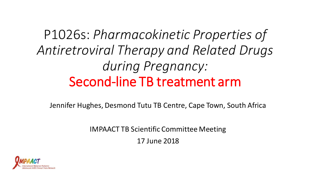P1026s: *Pharmacokinetic Properties of Antiretroviral Therapy and Related Drugs during Pregnancy:*  Second-line TB treatment arm

Jennifer Hughes, Desmond Tutu TB Centre, Cape Town, South Africa

IMPAACT TB Scientific Committee Meeting

17 June 2018

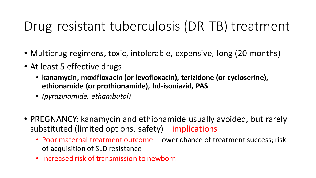### Drug-resistant tuberculosis (DR-TB) treatment

- Multidrug regimens, toxic, intolerable, expensive, long (20 months)
- At least 5 effective drugs
	- **kanamycin, moxifloxacin (or levofloxacin), terizidone (or cycloserine), ethionamide (or prothionamide), hd-isoniazid, PAS**
	- *(pyrazinamide, ethambutol)*
- PREGNANCY: kanamycin and ethionamide usually avoided, but rarely substituted (limited options, safety) – implications
	- Poor maternal treatment outcome lower chance of treatment success; risk of acquisition of SLD resistance
	- Increased risk of transmission to newborn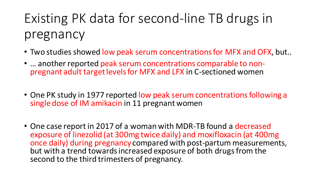# Existing PK data for second-line TB drugs in pregnancy

- Two studies showed low peak serum concentrations for MFX and OFX, but..
- ... another reported peak serum concentrations comparable to nonpregnant adult target levels for MFX and LFX in C-sectioned women
- One PK study in 1977 reported low peak serum concentrations following a single dose of IM amikacin in 11 pregnant women
- One case report in 2017 of a woman with MDR-TB found a decreased exposure of linezolid (at 300mg twice daily) and moxifloxacin (at 400mg once daily) during pregnancy compared with post-partum measurements, but with a trend towards increased exposure of both drugs from the second to the third trimesters of pregnancy.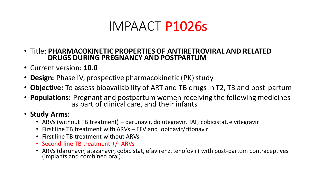### IMPAACT P1026s

- Title: **PHARMACOKINETIC PROPERTIES OF ANTIRETROVIRAL AND RELATED DRUGS DURING PREGNANCY AND POSTPARTUM**
- Current version: **10.0**
- **Design:** Phase IV, prospective pharmacokinetic (PK) study
- **Objective:** To assess bioavailability of ART and TB drugs in T2, T3 and post-partum
- **Populations:** Pregnant and postpartum women receiving the following medicines as part of clinical care, and their infants

#### • **Study Arms:**

- ARVs (without TB treatment) darunavir, dolutegravir, TAF, cobicistat, elvitegravir
- First line TB treatment with ARVs EFV and lopinavir/ritonavir
- First line TB treatment without ARVs
- Second-line TB treatment +/- ARVs
- ARVs (darunavir, atazanavir, cobicistat, efavirenz, tenofovir) with post-partum contraceptives (implants and combined oral)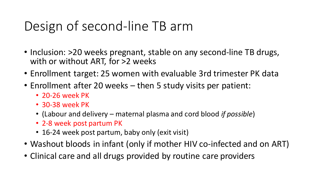## Design of second-line TB arm

- Inclusion: >20 weeks pregnant, stable on any second-line TB drugs, with or without ART, for >2 weeks
- Enrollment target: 25 women with evaluable 3rd trimester PK data
- Enrollment after 20 weeks then 5 study visits per patient:
	- 20-26 week PK
	- 30-38 week PK
	- (Labour and delivery maternal plasma and cord blood *if possible*)
	- 2-8 week post partum PK
	- 16-24 week post partum, baby only (exit visit)
- Washout bloods in infant (only if mother HIV co-infected and on ART)
- Clinical care and all drugs provided by routine care providers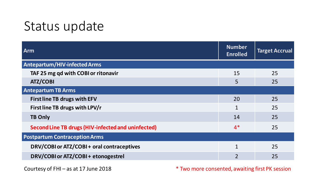### Status update

| Arm                                                | <b>Number</b><br><b>Enrolled</b> | <b>Target Accrual</b> |
|----------------------------------------------------|----------------------------------|-----------------------|
| <b>Antepartum/HIV-infected Arms</b>                |                                  |                       |
| TAF 25 mg qd with COBI or ritonavir                | 15                               | 25                    |
| <b>ATZ/COBI</b>                                    | 5                                | 25                    |
| <b>Antepartum TB Arms</b>                          |                                  |                       |
| <b>First line TB drugs with EFV</b>                | 20                               | 25                    |
| First line TB drugs with LPV/r                     | $\mathbf{1}$                     | 25                    |
| <b>TB Only</b>                                     | 14                               | 25                    |
| Second Line TB drugs (HIV-infected and uninfected) | $4*$                             | 25                    |
| <b>Postpartum Contraception Arms</b>               |                                  |                       |
| DRV/COBI or ATZ/COBI + oral contraceptives         | $\mathbf{1}$                     | 25                    |
| DRV/COBI or ATZ/COBI + etonogestrel                | $\overline{2}$                   | 25                    |

Courtesy of FHI – as at 17 June 2018 **\*** Two more consented, awaiting first PK session